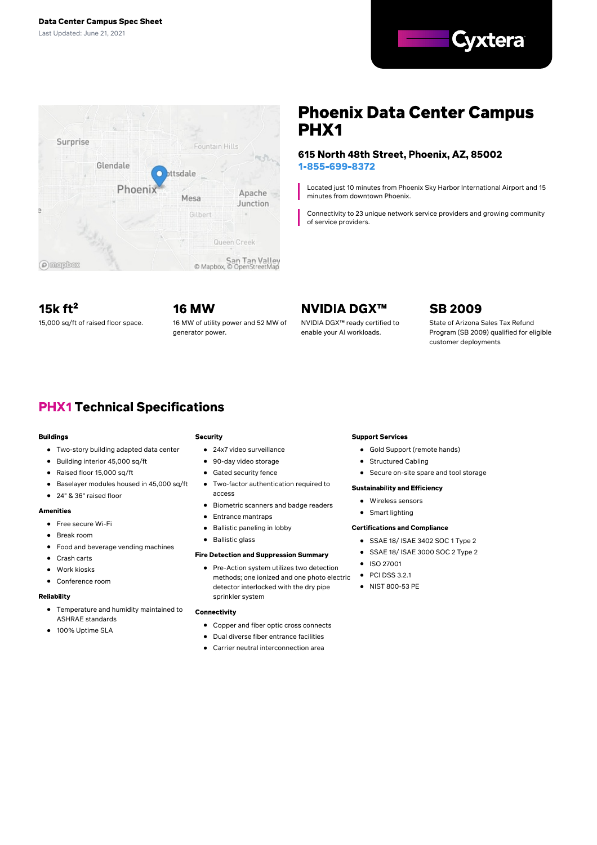



# **Phoenix Data Center Campus** PHX<sub>1</sub>

### 615 North 48th Street, Phoenix, AZ, 85002 1-855-699-8372

Located just 10 minutes from Phoenix Sky Harbor International Airport and 15 minutes from downtown Phoenix.

Connectivity to 23 unique network service providers and growing community of service providers.

15 $k$ ft<sup>2</sup>

**16 MW** 15,000 sq/ft of raised floor space. 16 MW of utility power and 52 MW of generator power.

# **NVIDIA DGX™**

NVIDIA DGX™ ready certified to enable your AI workloads.

# **SB 2009**

State of Arizona Sales Tax Refund Program (SB 2009) qualified for eligible customer deployments

# **PHX1 Technical Specifications**

#### **Buildings**

- Two-story building adapted data center
- Building interior 45,000 sq/ft  $\bullet$
- Raised floor 15,000 sq/ft  $\bullet$
- Baselayer modules housed in 45,000 sq/ft  $\bullet$
- 24" & 36" raised floor  $\bullet$

#### **Amenities**

- Free secure Wi-Fi
- Break room
- 
- Food and beverage vending machines
- Crash carts
- Work kiosks
- Conference room

#### Reliability

- Temperature and humidity maintained to ASHRAE standards
- 100% Uptime SLA  $\bullet$

## **Security**

- 24x7 video surveillance
- 90-day video storage
- $\bullet$ Gated security fence
- Two-factor authentication required to  $\bullet$ access
- Biometric scanners and badge readers
- Entrance mantraps  $\bullet$
- Ballistic paneling in lobby  $\bullet$
- Ballistic glass

### **Fire Detection and Suppression Summary**

Pre-Action system utilizes two detection methods; one ionized and one photo electric detector interlocked with the dry pipe sprinkler system

#### Connectivity

- Copper and fiber optic cross connects
- Dual diverse fiber entrance facilities
- Carrier neutral interconnection area

### **Support Services**

- Gold Support (remote hands)
- **•** Structured Cabling
	- Secure on-site spare and tool storage

### **Sustainability and Efficiency**

- Wireless sensors
- Smart lighting

### **Certifications and Compliance**

- SSAE 18/ ISAE 3402 SOC 1 Type 2
- SSAE 18/ ISAE 3000 SOC 2 Type 2
- ISO 27001
- $\bullet$  PCI DSS 3.2.1
- NIST 800-53 PE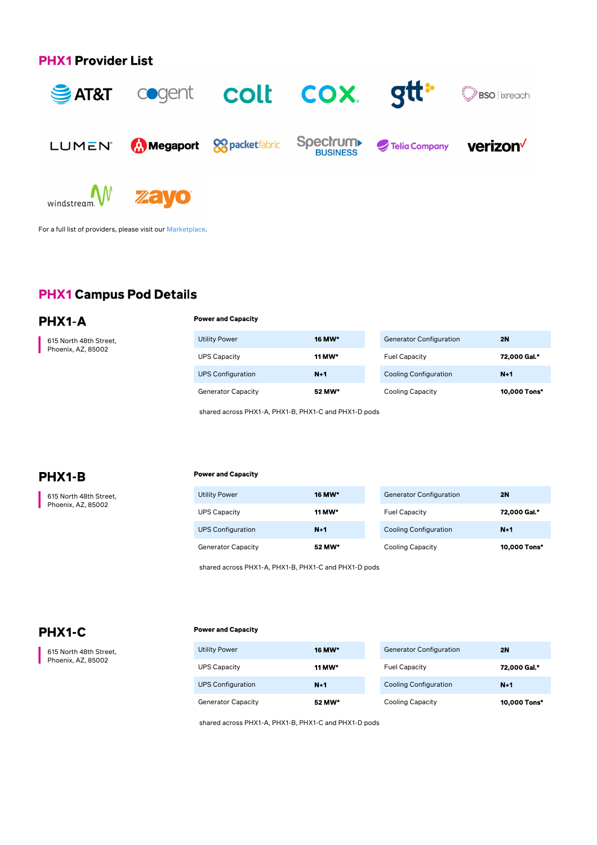## **PHX1 Provider List**



For a full list of providers, please visit our [Marketplace](https://marketplace.cyxtera.com/providers).

# **PHX1 Campus Pod Details**

PHX1-A

615 North 48th Street, Phoenix, AZ, 85002

|  |  | <b>Power and Capacity</b> |  |
|--|--|---------------------------|--|
|--|--|---------------------------|--|

| <b>Utility Power</b>      | <b>16 MW*</b> | <b>Generator Configuration</b> | 2N           |
|---------------------------|---------------|--------------------------------|--------------|
| <b>UPS Capacity</b>       | 11 MW*        | <b>Fuel Capacity</b>           | 72,000 Gal.* |
| <b>UPS Configuration</b>  | $N+1$         | <b>Cooling Configuration</b>   | $N+1$        |
| <b>Generator Capacity</b> | 52 MW*        | <b>Cooling Capacity</b>        | 10,000 Tons* |

shared across PHX1-A, PHX1-B, PHX1-C and PHX1-D pods

## PHX1-B

615 North 48th Street, Phoenix, AZ, 85002

#### **Power and Capacity**

| <b>Utility Power</b>      | 16 MW*        | Generat         |
|---------------------------|---------------|-----------------|
| <b>UPS Capacity</b>       | <b>11 MW*</b> | <b>Fuel Cap</b> |
| <b>UPS Configuration</b>  | $N+1$         | Cooling         |
| <b>Generator Capacity</b> | 52 MW*        | Cooling         |

| <b>Generator Configuration</b> | 2N           |
|--------------------------------|--------------|
| <b>Fuel Capacity</b>           | 72,000 Gal.* |
| <b>Cooling Configuration</b>   | $N+1$        |
| <b>Cooling Capacity</b>        | 10,000 Tons* |

shared across PHX1-A, PHX1-B, PHX1-C and PHX1-D pods

# PHX1-C

615 North 48th Street, Phoenix, AZ, 85002

#### **Power and Capacity**

| <b>Utility Power</b>      | <b>16 MW*</b> | <b>Generator Configuration</b> | 2N           |
|---------------------------|---------------|--------------------------------|--------------|
| <b>UPS Capacity</b>       | 11 MW*        | <b>Fuel Capacity</b>           | 72,000 Gal.* |
| <b>UPS Configuration</b>  | $N+1$         | <b>Cooling Configuration</b>   | $N+1$        |
| <b>Generator Capacity</b> | 52 MW*        | <b>Cooling Capacity</b>        | 10,000 Tons* |

shared across PHX1-A, PHX1-B, PHX1-C and PHX1-D pods